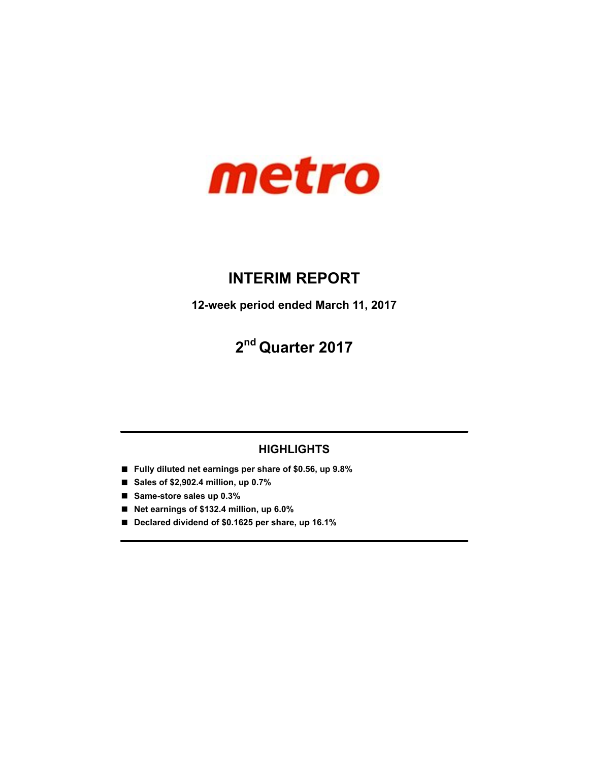

# **INTERIM REPORT**

**12-week period ended March 11, 2017**

# **2 nd Quarter 2017**

# **HIGHLIGHTS**

- **Fully diluted net earnings per share of \$0.56, up 9.8%**
- Sales of \$2,902.4 million, up 0.7%
- **Same-store sales up 0.3%**
- **Net earnings of \$132.4 million, up 6.0%**
- **Declared dividend of \$0.1625 per share, up 16.1%**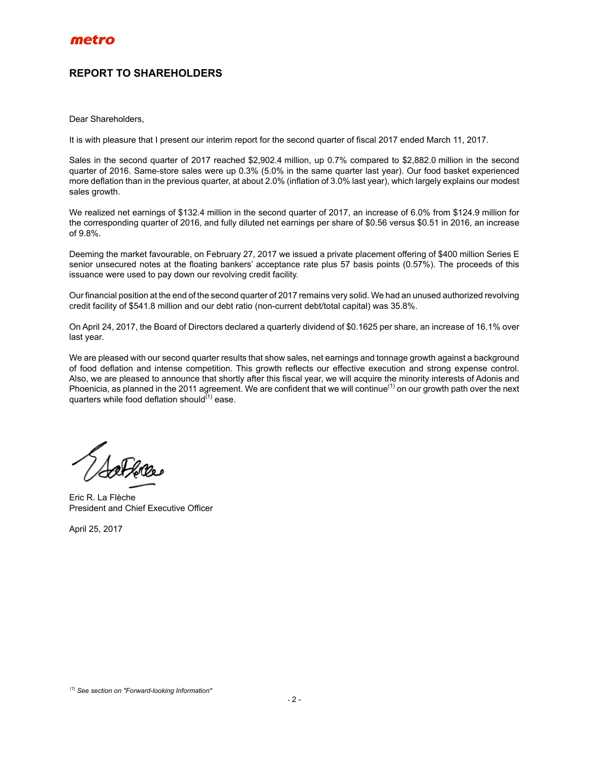# **REPORT TO SHAREHOLDERS**

Dear Shareholders,

It is with pleasure that I present our interim report for the second quarter of fiscal 2017 ended March 11, 2017.

Sales in the second quarter of 2017 reached \$2,902.4 million, up 0.7% compared to \$2,882.0 million in the second quarter of 2016. Same-store sales were up 0.3% (5.0% in the same quarter last year). Our food basket experienced more deflation than in the previous quarter, at about 2.0% (inflation of 3.0% last year), which largely explains our modest sales growth.

We realized net earnings of \$132.4 million in the second quarter of 2017, an increase of 6.0% from \$124.9 million for the corresponding quarter of 2016, and fully diluted net earnings per share of \$0.56 versus \$0.51 in 2016, an increase of 9.8%.

Deeming the market favourable, on February 27, 2017 we issued a private placement offering of \$400 million Series E senior unsecured notes at the floating bankers' acceptance rate plus 57 basis points (0.57%). The proceeds of this issuance were used to pay down our revolving credit facility.

Our financial position at the end of the second quarter of 2017 remains very solid. We had an unused authorized revolving credit facility of \$541.8 million and our debt ratio (non-current debt/total capital) was 35.8%.

On April 24, 2017, the Board of Directors declared a quarterly dividend of \$0.1625 per share, an increase of 16.1% over last year.

We are pleased with our second quarter results that show sales, net earnings and tonnage growth against a background of food deflation and intense competition. This growth reflects our effective execution and strong expense control. Also, we are pleased to announce that shortly after this fiscal year, we will acquire the minority interests of Adonis and Phoenicia, as planned in the 2011 agreement. We are confident that we will continue<sup>(1)</sup> on our growth path over the next quarters while food deflation should $^{(1)}$  ease.

Eric R. La Flèche President and Chief Executive Officer

April 25, 2017

*<sup>(1)</sup> See section on "Forward-looking Information"*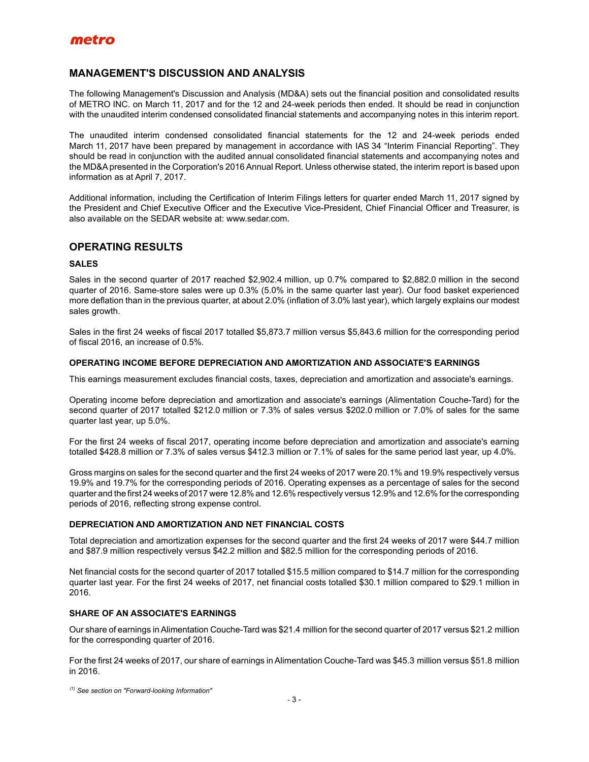### **MANAGEMENT'S DISCUSSION AND ANALYSIS**

The following Management's Discussion and Analysis (MD&A) sets out the financial position and consolidated results of METRO INC. on March 11, 2017 and for the 12 and 24-week periods then ended. It should be read in conjunction with the unaudited interim condensed consolidated financial statements and accompanying notes in this interim report.

The unaudited interim condensed consolidated financial statements for the 12 and 24-week periods ended March 11, 2017 have been prepared by management in accordance with IAS 34 "Interim Financial Reporting". They should be read in conjunction with the audited annual consolidated financial statements and accompanying notes and the MD&A presented in the Corporation's 2016 Annual Report. Unless otherwise stated, the interim report is based upon information as at April 7, 2017.

Additional information, including the Certification of Interim Filings letters for quarter ended March 11, 2017 signed by the President and Chief Executive Officer and the Executive Vice-President, Chief Financial Officer and Treasurer, is also available on the SEDAR website at: www.sedar.com.

### **OPERATING RESULTS**

### **SALES**

Sales in the second quarter of 2017 reached \$2,902.4 million, up 0.7% compared to \$2,882.0 million in the second quarter of 2016. Same-store sales were up 0.3% (5.0% in the same quarter last year). Our food basket experienced more deflation than in the previous quarter, at about 2.0% (inflation of 3.0% last year), which largely explains our modest sales growth.

Sales in the first 24 weeks of fiscal 2017 totalled \$5,873.7 million versus \$5,843.6 million for the corresponding period of fiscal 2016, an increase of 0.5%.

### **OPERATING INCOME BEFORE DEPRECIATION AND AMORTIZATION AND ASSOCIATE'S EARNINGS**

This earnings measurement excludes financial costs, taxes, depreciation and amortization and associate's earnings.

Operating income before depreciation and amortization and associate's earnings (Alimentation Couche-Tard) for the second quarter of 2017 totalled \$212.0 million or 7.3% of sales versus \$202.0 million or 7.0% of sales for the same quarter last year, up 5.0%.

For the first 24 weeks of fiscal 2017, operating income before depreciation and amortization and associate's earning totalled \$428.8 million or 7.3% of sales versus \$412.3 million or 7.1% of sales for the same period last year, up 4.0%.

Gross margins on sales for the second quarter and the first 24 weeks of 2017 were 20.1% and 19.9% respectively versus 19.9% and 19.7% for the corresponding periods of 2016. Operating expenses as a percentage of sales for the second quarter and the first 24 weeks of 2017 were 12.8% and 12.6% respectively versus 12.9% and 12.6% for the corresponding periods of 2016, reflecting strong expense control.

### **DEPRECIATION AND AMORTIZATION AND NET FINANCIAL COSTS**

Total depreciation and amortization expenses for the second quarter and the first 24 weeks of 2017 were \$44.7 million and \$87.9 million respectively versus \$42.2 million and \$82.5 million for the corresponding periods of 2016.

Net financial costs for the second quarter of 2017 totalled \$15.5 million compared to \$14.7 million for the corresponding quarter last year. For the first 24 weeks of 2017, net financial costs totalled \$30.1 million compared to \$29.1 million in 2016.

### **SHARE OF AN ASSOCIATE'S EARNINGS**

Our share of earnings in Alimentation Couche-Tard was \$21.4 million for the second quarter of 2017 versus \$21.2 million for the corresponding quarter of 2016.

For the first 24 weeks of 2017, our share of earnings in Alimentation Couche-Tard was \$45.3 million versus \$51.8 million in 2016.

*(1) See section on "Forward-looking Information"*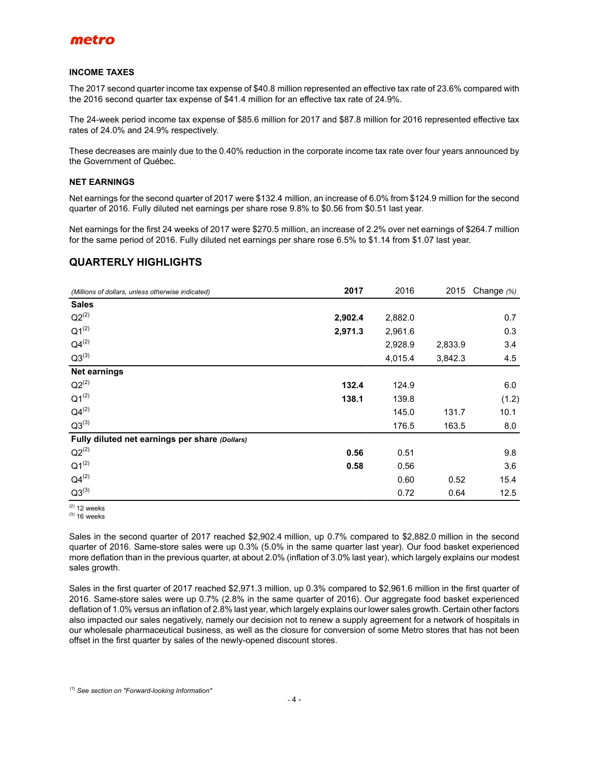

#### **INCOME TAXES**

The 2017 second quarter income tax expense of \$40.8 million represented an effective tax rate of 23.6% compared with the 2016 second quarter tax expense of \$41.4 million for an effective tax rate of 24.9%.

The 24-week period income tax expense of \$85.6 million for 2017 and \$87.8 million for 2016 represented effective tax rates of 24.0% and 24.9% respectively.

These decreases are mainly due to the 0.40% reduction in the corporate income tax rate over four years announced by the Government of Québec.

### **NET EARNINGS**

Net earnings for the second quarter of 2017 were \$132.4 million, an increase of 6.0% from \$124.9 million for the second quarter of 2016. Fully diluted net earnings per share rose 9.8% to \$0.56 from \$0.51 last year.

Net earnings for the first 24 weeks of 2017 were \$270.5 million, an increase of 2.2% over net earnings of \$264.7 million for the same period of 2016. Fully diluted net earnings per share rose 6.5% to \$1.14 from \$1.07 last year.

### **QUARTERLY HIGHLIGHTS**

| (Millions of dollars, unless otherwise indicated) | 2017    | 2016    | 2015    | Change (%) |
|---------------------------------------------------|---------|---------|---------|------------|
| <b>Sales</b>                                      |         |         |         |            |
| $Q2^{(2)}$                                        | 2,902.4 | 2,882.0 |         | 0.7        |
| $Q1^{(2)}$                                        | 2,971.3 | 2,961.6 |         | 0.3        |
| $Q4^{(2)}$                                        |         | 2,928.9 | 2,833.9 | 3.4        |
| $Q3^{(3)}$                                        |         | 4,015.4 | 3,842.3 | 4.5        |
| <b>Net earnings</b>                               |         |         |         |            |
| $Q2^{(2)}$                                        | 132.4   | 124.9   |         | 6.0        |
| $Q1^{(2)}$                                        | 138.1   | 139.8   |         | (1.2)      |
| $Q4^{(2)}$                                        |         | 145.0   | 131.7   | 10.1       |
| $Q3^{(3)}$                                        |         | 176.5   | 163.5   | 8.0        |
| Fully diluted net earnings per share (Dollars)    |         |         |         |            |
| $Q2^{(2)}$                                        | 0.56    | 0.51    |         | 9.8        |
| $Q1^{(2)}$                                        | 0.58    | 0.56    |         | 3.6        |
| $Q4^{(2)}$                                        |         | 0.60    | 0.52    | 15.4       |
| $Q3^{(3)}$                                        |         | 0.72    | 0.64    | 12.5       |

 $(2)$  12 weeks  $(3)$  16 weeks

Sales in the second quarter of 2017 reached \$2,902.4 million, up 0.7% compared to \$2,882.0 million in the second quarter of 2016. Same-store sales were up 0.3% (5.0% in the same quarter last year). Our food basket experienced more deflation than in the previous quarter, at about 2.0% (inflation of 3.0% last year), which largely explains our modest sales growth.

Sales in the first quarter of 2017 reached \$2,971.3 million, up 0.3% compared to \$2,961.6 million in the first quarter of 2016. Same-store sales were up 0.7% (2.8% in the same quarter of 2016). Our aggregate food basket experienced deflation of 1.0% versus an inflation of 2.8% last year, which largely explains our lower sales growth. Certain other factors also impacted our sales negatively, namely our decision not to renew a supply agreement for a network of hospitals in our wholesale pharmaceutical business, as well as the closure for conversion of some Metro stores that has not been offset in the first quarter by sales of the newly-opened discount stores.

*(1) See section on "Forward-looking Information"*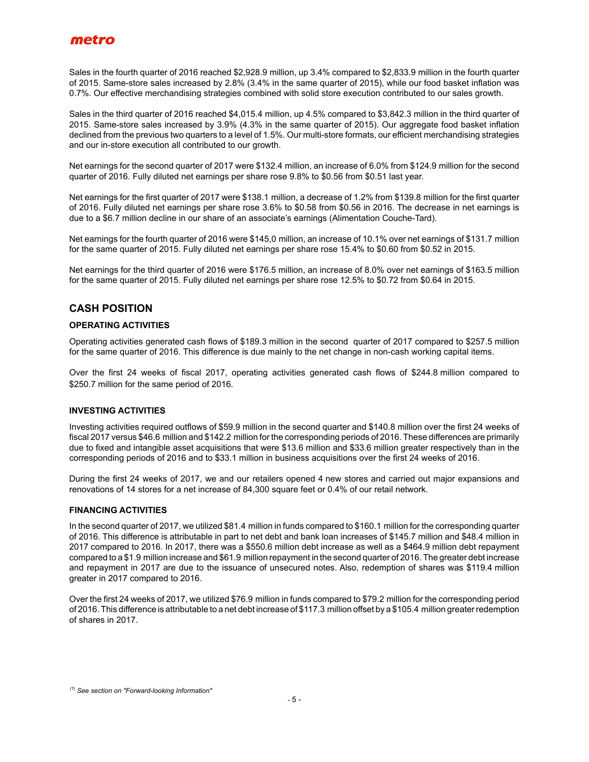Sales in the fourth quarter of 2016 reached \$2,928.9 million, up 3.4% compared to \$2,833.9 million in the fourth quarter of 2015. Same-store sales increased by 2.8% (3.4% in the same quarter of 2015), while our food basket inflation was 0.7%. Our effective merchandising strategies combined with solid store execution contributed to our sales growth.

Sales in the third quarter of 2016 reached \$4,015.4 million, up 4.5% compared to \$3,842.3 million in the third quarter of 2015. Same-store sales increased by 3.9% (4.3% in the same quarter of 2015). Our aggregate food basket inflation declined from the previous two quarters to a level of 1.5%. Our multi-store formats, our efficient merchandising strategies and our in-store execution all contributed to our growth.

Net earnings for the second quarter of 2017 were \$132.4 million, an increase of 6.0% from \$124.9 million for the second quarter of 2016. Fully diluted net earnings per share rose 9.8% to \$0.56 from \$0.51 last year.

Net earnings for the first quarter of 2017 were \$138.1 million, a decrease of 1.2% from \$139.8 million for the first quarter of 2016. Fully diluted net earnings per share rose 3.6% to \$0.58 from \$0.56 in 2016. The decrease in net earnings is due to a \$6.7 million decline in our share of an associate's earnings (Alimentation Couche-Tard).

Net earnings for the fourth quarter of 2016 were \$145,0 million, an increase of 10.1% over net earnings of \$131.7 million for the same quarter of 2015. Fully diluted net earnings per share rose 15.4% to \$0.60 from \$0.52 in 2015.

Net earnings for the third quarter of 2016 were \$176.5 million, an increase of 8.0% over net earnings of \$163.5 million for the same quarter of 2015. Fully diluted net earnings per share rose 12.5% to \$0.72 from \$0.64 in 2015.

### **CASH POSITION**

### **OPERATING ACTIVITIES**

Operating activities generated cash flows of \$189.3 million in the second quarter of 2017 compared to \$257.5 million for the same quarter of 2016. This difference is due mainly to the net change in non-cash working capital items.

Over the first 24 weeks of fiscal 2017, operating activities generated cash flows of \$244.8 million compared to \$250.7 million for the same period of 2016.

### **INVESTING ACTIVITIES**

Investing activities required outflows of \$59.9 million in the second quarter and \$140.8 million over the first 24 weeks of fiscal 2017 versus \$46.6 million and \$142.2 million for the corresponding periods of 2016. These differences are primarily due to fixed and intangible asset acquisitions that were \$13.6 million and \$33.6 million greater respectively than in the corresponding periods of 2016 and to \$33.1 million in business acquisitions over the first 24 weeks of 2016.

During the first 24 weeks of 2017, we and our retailers opened 4 new stores and carried out major expansions and renovations of 14 stores for a net increase of 84,300 square feet or 0.4% of our retail network.

### **FINANCING ACTIVITIES**

In the second quarter of 2017, we utilized \$81.4 million in funds compared to \$160.1 million for the corresponding quarter of 2016. This difference is attributable in part to net debt and bank loan increases of \$145.7 million and \$48.4 million in 2017 compared to 2016. In 2017, there was a \$550.6 million debt increase as well as a \$464.9 million debt repayment compared to a \$1.9 million increase and \$61.9 million repayment in the second quarter of 2016. The greater debt increase and repayment in 2017 are due to the issuance of unsecured notes. Also, redemption of shares was \$119.4 million greater in 2017 compared to 2016.

Over the first 24 weeks of 2017, we utilized \$76.9 million in funds compared to \$79.2 million for the corresponding period of 2016. This difference is attributable to a net debt increase of \$117.3 million offset by a \$105.4 million greater redemption of shares in 2017.

*<sup>(1)</sup> See section on "Forward-looking Information"*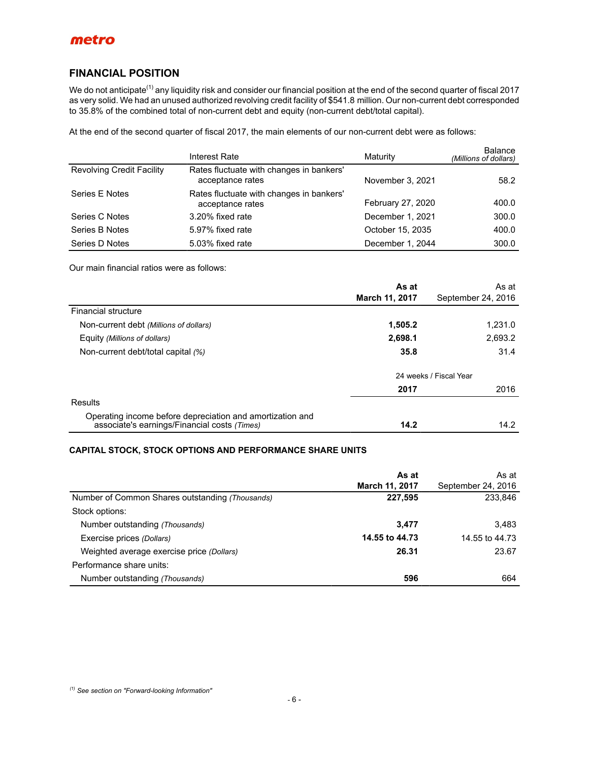### **FINANCIAL POSITION**

We do not anticipate<sup>(1)</sup> any liquidity risk and consider our financial position at the end of the second quarter of fiscal 2017 as very solid. We had an unused authorized revolving credit facility of \$541.8 million. Our non-current debt corresponded to 35.8% of the combined total of non-current debt and equity (non-current debt/total capital).

At the end of the second quarter of fiscal 2017, the main elements of our non-current debt were as follows:

|                                  | Interest Rate                                                | Maturity          | Balance<br>(Millions of dollars) |
|----------------------------------|--------------------------------------------------------------|-------------------|----------------------------------|
| <b>Revolving Credit Facility</b> | Rates fluctuate with changes in bankers'<br>acceptance rates | November 3, 2021  | 58.2                             |
| Series E Notes                   | Rates fluctuate with changes in bankers'<br>acceptance rates | February 27, 2020 | 400.0                            |
| Series C Notes                   | 3.20% fixed rate                                             | December 1, 2021  | 300.0                            |
| Series B Notes                   | 5.97% fixed rate                                             | October 15, 2035  | 400.0                            |
| Series D Notes                   | 5.03% fixed rate                                             | December 1, 2044  | 300.0                            |

Our main financial ratios were as follows:

|                                                                                                           | As at                 | As at                  |
|-----------------------------------------------------------------------------------------------------------|-----------------------|------------------------|
|                                                                                                           | <b>March 11, 2017</b> | September 24, 2016     |
| Financial structure                                                                                       |                       |                        |
| Non-current debt (Millions of dollars)                                                                    | 1,505.2               | 1,231.0                |
| Equity (Millions of dollars)                                                                              | 2,698.1               | 2,693.2                |
| Non-current debt/total capital (%)                                                                        | 35.8                  | 31.4                   |
|                                                                                                           |                       | 24 weeks / Fiscal Year |
|                                                                                                           | 2017                  | 2016                   |
| Results                                                                                                   |                       |                        |
| Operating income before depreciation and amortization and<br>associate's earnings/Financial costs (Times) | 14.2                  | 14.2                   |

### **CAPITAL STOCK, STOCK OPTIONS AND PERFORMANCE SHARE UNITS**

|                                                 | As at          | As at              |
|-------------------------------------------------|----------------|--------------------|
|                                                 | March 11, 2017 | September 24, 2016 |
| Number of Common Shares outstanding (Thousands) | 227,595        | 233,846            |
| Stock options:                                  |                |                    |
| Number outstanding (Thousands)                  | 3,477          | 3.483              |
| Exercise prices (Dollars)                       | 14.55 to 44.73 | 14.55 to 44.73     |
| Weighted average exercise price (Dollars)       | 26.31          | 23.67              |
| Performance share units:                        |                |                    |
| Number outstanding (Thousands)                  | 596            | 664                |

*(1) See section on "Forward-looking Information"*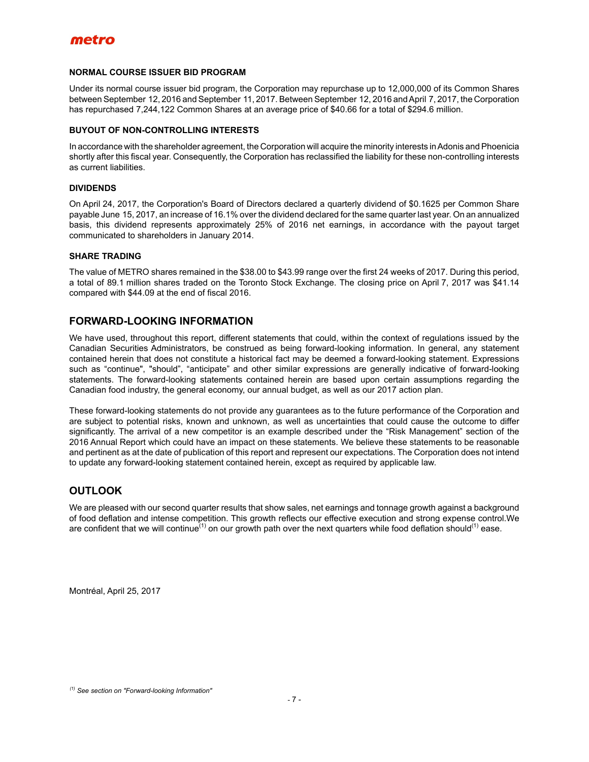

### **NORMAL COURSE ISSUER BID PROGRAM**

Under its normal course issuer bid program, the Corporation may repurchase up to 12,000,000 of its Common Shares between September 12, 2016 and September 11, 2017. Between September 12, 2016 and April 7, 2017, the Corporation has repurchased 7,244,122 Common Shares at an average price of \$40.66 for a total of \$294.6 million.

#### **BUYOUT OF NON-CONTROLLING INTERESTS**

In accordance with the shareholder agreement, the Corporation will acquire the minority interests in Adonis and Phoenicia shortly after this fiscal year. Consequently, the Corporation has reclassified the liability for these non-controlling interests as current liabilities.

#### **DIVIDENDS**

On April 24, 2017, the Corporation's Board of Directors declared a quarterly dividend of \$0.1625 per Common Share payable June 15, 2017, an increase of 16.1% over the dividend declared for the same quarter last year. On an annualized basis, this dividend represents approximately 25% of 2016 net earnings, in accordance with the payout target communicated to shareholders in January 2014.

#### **SHARE TRADING**

The value of METRO shares remained in the \$38.00 to \$43.99 range over the first 24 weeks of 2017. During this period, a total of 89.1 million shares traded on the Toronto Stock Exchange. The closing price on April 7, 2017 was \$41.14 compared with \$44.09 at the end of fiscal 2016.

### **FORWARD-LOOKING INFORMATION**

We have used, throughout this report, different statements that could, within the context of regulations issued by the Canadian Securities Administrators, be construed as being forward-looking information. In general, any statement contained herein that does not constitute a historical fact may be deemed a forward-looking statement. Expressions such as "continue", "should", "anticipate" and other similar expressions are generally indicative of forward-looking statements. The forward-looking statements contained herein are based upon certain assumptions regarding the Canadian food industry, the general economy, our annual budget, as well as our 2017 action plan.

These forward-looking statements do not provide any guarantees as to the future performance of the Corporation and are subject to potential risks, known and unknown, as well as uncertainties that could cause the outcome to differ significantly. The arrival of a new competitor is an example described under the "Risk Management" section of the 2016 Annual Report which could have an impact on these statements. We believe these statements to be reasonable and pertinent as at the date of publication of this report and represent our expectations. The Corporation does not intend to update any forward-looking statement contained herein, except as required by applicable law.

### **OUTLOOK**

We are pleased with our second quarter results that show sales, net earnings and tonnage growth against a background of food deflation and intense competition. This growth reflects our effective execution and strong expense control.We are confident that we will continue<sup>(1)</sup> on our growth path over the next quarters while food deflation should<sup>(1)</sup> ease.

Montréal, April 25, 2017

*<sup>(1)</sup> See section on "Forward-looking Information"*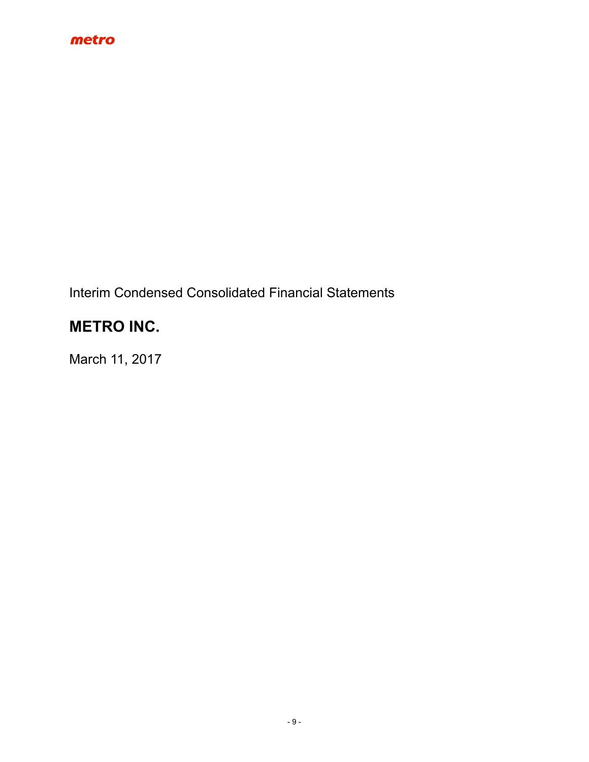

Interim Condensed Consolidated Financial Statements

# **METRO INC.**

March 11, 2017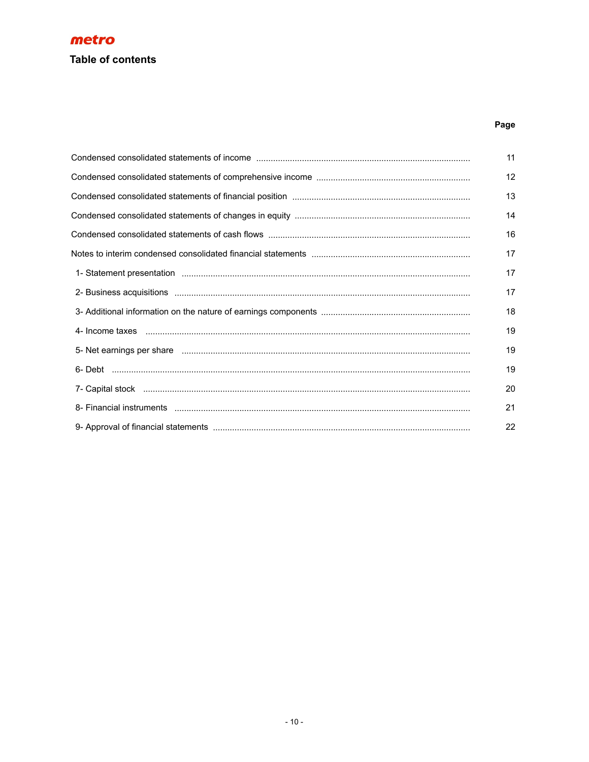# **Table of contents**

# Page

| Condensed consolidated statements of income manual content controller content content consumer content of the | 11 |
|---------------------------------------------------------------------------------------------------------------|----|
|                                                                                                               | 12 |
|                                                                                                               | 13 |
|                                                                                                               | 14 |
|                                                                                                               | 16 |
|                                                                                                               | 17 |
|                                                                                                               | 17 |
|                                                                                                               | 17 |
|                                                                                                               | 18 |
|                                                                                                               | 19 |
|                                                                                                               | 19 |
|                                                                                                               | 19 |
|                                                                                                               | 20 |
|                                                                                                               | 21 |
|                                                                                                               | 22 |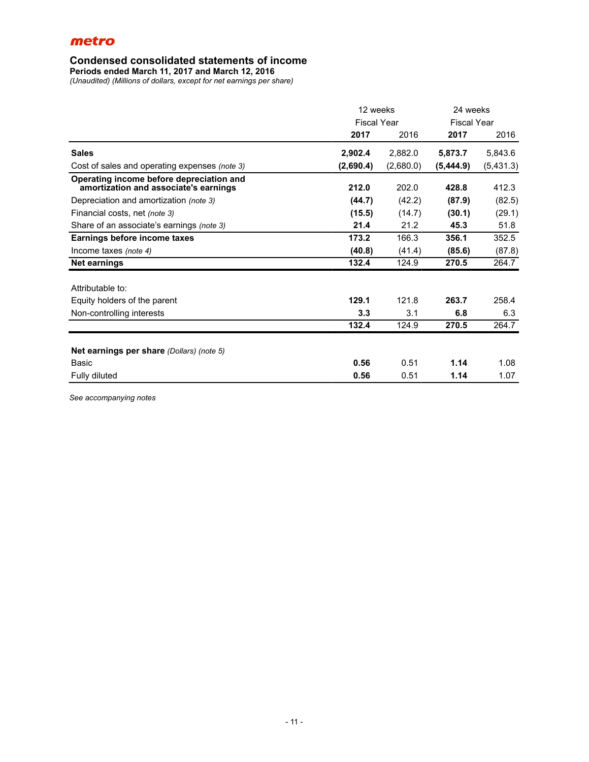### **Condensed consolidated statements of income**

**Periods ended March 11, 2017 and March 12, 2016**

*(Unaudited) (Millions of dollars, except for net earnings per share)*

|                                                                                   | 12 weeks           |           | 24 weeks           |           |
|-----------------------------------------------------------------------------------|--------------------|-----------|--------------------|-----------|
|                                                                                   | <b>Fiscal Year</b> |           | <b>Fiscal Year</b> |           |
|                                                                                   | 2017               | 2016      | 2017               | 2016      |
| <b>Sales</b>                                                                      | 2,902.4            | 2,882.0   | 5,873.7            | 5,843.6   |
| Cost of sales and operating expenses (note 3)                                     | (2,690.4)          | (2,680.0) | (5,444.9)          | (5,431.3) |
| Operating income before depreciation and<br>amortization and associate's earnings | 212.0              | 202.0     | 428.8              | 412.3     |
| Depreciation and amortization (note 3)                                            | (44.7)             | (42.2)    | (87.9)             | (82.5)    |
| Financial costs, net (note 3)                                                     | (15.5)             | (14.7)    | (30.1)             | (29.1)    |
| Share of an associate's earnings (note 3)                                         | 21.4               | 21.2      | 45.3               | 51.8      |
| Earnings before income taxes                                                      | 173.2              | 166.3     | 356.1              | 352.5     |
| Income taxes (note 4)                                                             | (40.8)             | (41.4)    | (85.6)             | (87.8)    |
| Net earnings                                                                      | 132.4              | 124.9     | 270.5              | 264.7     |
| Attributable to:                                                                  |                    |           |                    |           |
| Equity holders of the parent                                                      | 129.1              | 121.8     | 263.7              | 258.4     |
| Non-controlling interests                                                         | 3.3                | 3.1       | 6.8                | 6.3       |
|                                                                                   | 132.4              | 124.9     | 270.5              | 264.7     |
| <b>Net earnings per share (Dollars) (note 5)</b>                                  |                    |           |                    |           |
| <b>Basic</b>                                                                      | 0.56               | 0.51      | 1.14               | 1.08      |
| Fully diluted                                                                     | 0.56               | 0.51      | 1.14               | 1.07      |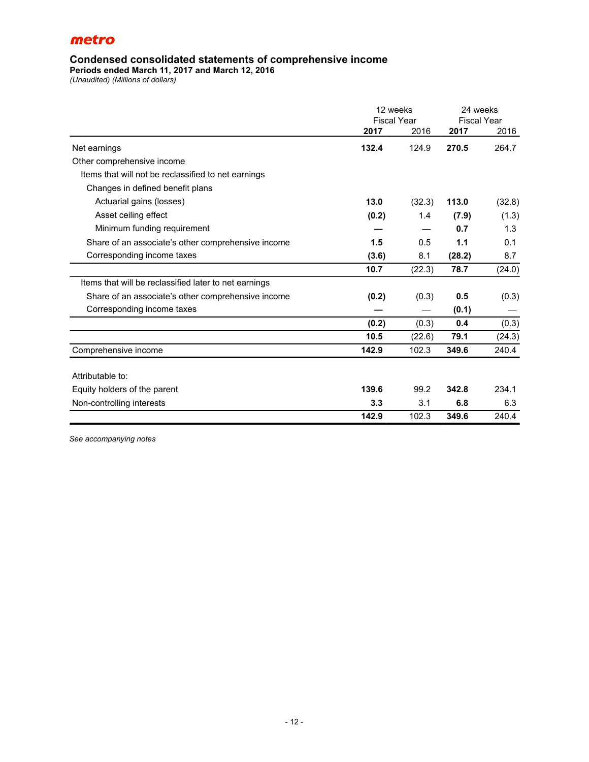### **Condensed consolidated statements of comprehensive income**

**Periods ended March 11, 2017 and March 12, 2016**

*(Unaudited) (Millions of dollars)*

|                                                       | 12 weeks           |        | 24 weeks           |        |  |
|-------------------------------------------------------|--------------------|--------|--------------------|--------|--|
|                                                       | <b>Fiscal Year</b> |        | <b>Fiscal Year</b> |        |  |
|                                                       | 2017               | 2016   | 2017               | 2016   |  |
| Net earnings                                          | 132.4              | 124.9  | 270.5              | 264.7  |  |
| Other comprehensive income                            |                    |        |                    |        |  |
| Items that will not be reclassified to net earnings   |                    |        |                    |        |  |
| Changes in defined benefit plans                      |                    |        |                    |        |  |
| Actuarial gains (losses)                              | 13.0               | (32.3) | 113.0              | (32.8) |  |
| Asset ceiling effect                                  | (0.2)              | 1.4    | (7.9)              | (1.3)  |  |
| Minimum funding requirement                           |                    |        | 0.7                | 1.3    |  |
| Share of an associate's other comprehensive income    | 1.5                | 0.5    | 1.1                | 0.1    |  |
| Corresponding income taxes                            | (3.6)              | 8.1    | (28.2)             | 8.7    |  |
|                                                       | 10.7               | (22.3) | 78.7               | (24.0) |  |
| Items that will be reclassified later to net earnings |                    |        |                    |        |  |
| Share of an associate's other comprehensive income    | (0.2)              | (0.3)  | 0.5                | (0.3)  |  |
| Corresponding income taxes                            |                    |        | (0.1)              |        |  |
|                                                       | (0.2)              | (0.3)  | 0.4                | (0.3)  |  |
|                                                       | 10.5               | (22.6) | 79.1               | (24.3) |  |
| Comprehensive income                                  | 142.9              | 102.3  | 349.6              | 240.4  |  |
| Attributable to:                                      |                    |        |                    |        |  |
| Equity holders of the parent                          | 139.6              | 99.2   | 342.8              | 234.1  |  |
| Non-controlling interests                             | 3.3                | 3.1    | 6.8                | 6.3    |  |
|                                                       | 142.9              | 102.3  | 349.6              | 240.4  |  |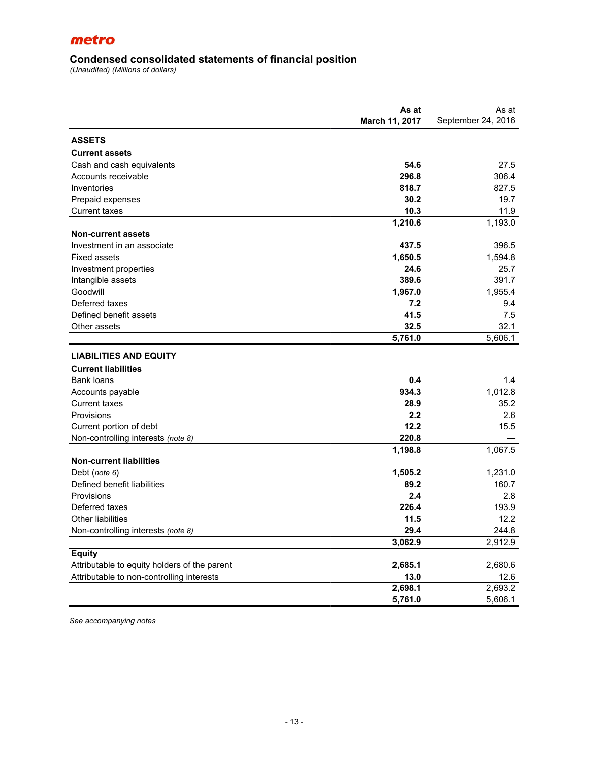### **Condensed consolidated statements of financial position**

*(Unaudited) (Millions of dollars)*

|                                              | As at          | As at              |
|----------------------------------------------|----------------|--------------------|
|                                              | March 11, 2017 | September 24, 2016 |
| <b>ASSETS</b>                                |                |                    |
| <b>Current assets</b>                        |                |                    |
| Cash and cash equivalents                    | 54.6           | 27.5               |
| Accounts receivable                          | 296.8          | 306.4              |
| Inventories                                  | 818.7          | 827.5              |
| Prepaid expenses                             | 30.2           | 19.7               |
| <b>Current taxes</b>                         | 10.3           | 11.9               |
|                                              | 1,210.6        | 1,193.0            |
| <b>Non-current assets</b>                    |                |                    |
| Investment in an associate                   | 437.5          | 396.5              |
| <b>Fixed assets</b>                          | 1,650.5        | 1,594.8            |
| Investment properties                        | 24.6           | 25.7               |
| Intangible assets                            | 389.6          | 391.7              |
| Goodwill                                     | 1,967.0        | 1,955.4            |
| Deferred taxes                               | 7.2            | 9.4                |
| Defined benefit assets                       | 41.5           | 7.5                |
| Other assets                                 | 32.5           | 32.1               |
|                                              | 5,761.0        | 5,606.1            |
| <b>LIABILITIES AND EQUITY</b>                |                |                    |
| <b>Current liabilities</b>                   |                |                    |
| Bank loans                                   | 0.4            | 1.4                |
| Accounts payable                             | 934.3          | 1.012.8            |
| <b>Current taxes</b>                         | 28.9           | 35.2               |
| Provisions                                   | 2.2            | 2.6                |
| Current portion of debt                      | 12.2           | 15.5               |
| Non-controlling interests (note 8)           | 220.8          |                    |
|                                              | 1,198.8        | 1,067.5            |
| <b>Non-current liabilities</b>               |                |                    |
| Debt (note 6)                                | 1,505.2        | 1,231.0            |
| Defined benefit liabilities                  | 89.2           | 160.7              |
| Provisions                                   | 2.4            | 2.8                |
| Deferred taxes                               | 226.4          | 193.9              |
| <b>Other liabilities</b>                     | 11.5           | 12.2               |
| Non-controlling interests (note 8)           | 29.4           | 244.8              |
|                                              | 3,062.9        | 2,912.9            |
| <b>Equity</b>                                |                |                    |
| Attributable to equity holders of the parent | 2,685.1        | 2,680.6            |
| Attributable to non-controlling interests    | 13.0           | 12.6               |
|                                              | 2,698.1        | 2,693.2            |
|                                              | 5,761.0        | 5,606.1            |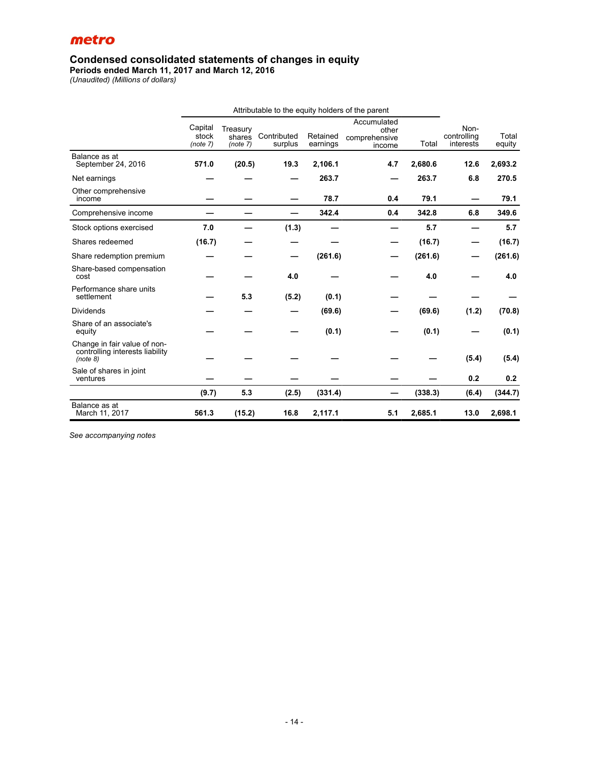### **Condensed consolidated statements of changes in equity**

**Periods ended March 11, 2017 and March 12, 2016**

*(Unaudited) (Millions of dollars)*

|                                                                             | Attributable to the equity holders of the parent |                                |                        |                      |                                                 |         |                                  |                 |
|-----------------------------------------------------------------------------|--------------------------------------------------|--------------------------------|------------------------|----------------------|-------------------------------------------------|---------|----------------------------------|-----------------|
|                                                                             | Capital<br>stock<br>(note 7)                     | Treasury<br>shares<br>(note 7) | Contributed<br>surplus | Retained<br>earnings | Accumulated<br>other<br>comprehensive<br>income | Total   | Non-<br>controlling<br>interests | Total<br>equity |
| Balance as at<br>September 24, 2016                                         | 571.0                                            | (20.5)                         | 19.3                   | 2,106.1              | 4.7                                             | 2,680.6 | 12.6                             | 2,693.2         |
| Net earnings                                                                |                                                  |                                |                        | 263.7                |                                                 | 263.7   | 6.8                              | 270.5           |
| Other comprehensive<br>income                                               |                                                  |                                |                        | 78.7                 | 0.4                                             | 79.1    |                                  | 79.1            |
| Comprehensive income                                                        |                                                  |                                |                        | 342.4                | 0.4                                             | 342.8   | 6.8                              | 349.6           |
| Stock options exercised                                                     | 7.0                                              |                                | (1.3)                  |                      |                                                 | 5.7     |                                  | 5.7             |
| Shares redeemed                                                             | (16.7)                                           |                                |                        |                      |                                                 | (16.7)  |                                  | (16.7)          |
| Share redemption premium                                                    |                                                  |                                |                        | (261.6)              |                                                 | (261.6) |                                  | (261.6)         |
| Share-based compensation<br>cost                                            |                                                  |                                | 4.0                    |                      |                                                 | 4.0     |                                  | 4.0             |
| Performance share units<br>settlement                                       |                                                  | 5.3                            | (5.2)                  | (0.1)                |                                                 |         |                                  |                 |
| <b>Dividends</b>                                                            |                                                  |                                |                        | (69.6)               |                                                 | (69.6)  | (1.2)                            | (70.8)          |
| Share of an associate's<br>equity                                           |                                                  |                                |                        | (0.1)                |                                                 | (0.1)   |                                  | (0.1)           |
| Change in fair value of non-<br>controlling interests liability<br>(note 8) |                                                  |                                |                        |                      |                                                 |         | (5.4)                            | (5.4)           |
| Sale of shares in joint<br>ventures                                         |                                                  |                                |                        |                      |                                                 |         | 0.2                              | 0.2             |
|                                                                             | (9.7)                                            | 5.3                            | (2.5)                  | (331.4)              |                                                 | (338.3) | (6.4)                            | (344.7)         |
| Balance as at<br>March 11, 2017                                             | 561.3                                            | (15.2)                         | 16.8                   | 2,117.1              | 5.1                                             | 2,685.1 | 13.0                             | 2,698.1         |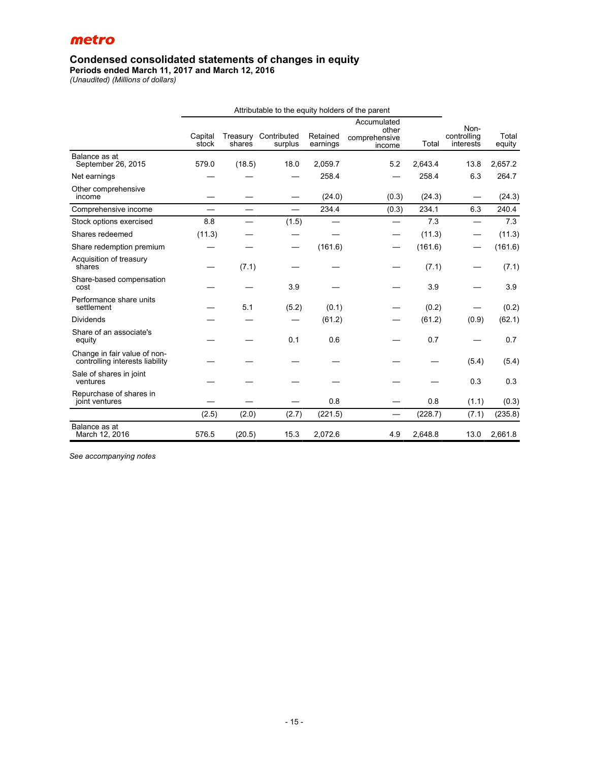### **Condensed consolidated statements of changes in equity**

**Periods ended March 11, 2017 and March 12, 2016**

*(Unaudited) (Millions of dollars)*

|                                                                 | Attributable to the equity holders of the parent |                          |                          |                      |                                                 |         |                                  |                 |
|-----------------------------------------------------------------|--------------------------------------------------|--------------------------|--------------------------|----------------------|-------------------------------------------------|---------|----------------------------------|-----------------|
|                                                                 | Capital<br>stock                                 | Treasury<br>shares       | Contributed<br>surplus   | Retained<br>earnings | Accumulated<br>other<br>comprehensive<br>income | Total   | Non-<br>controlling<br>interests | Total<br>equity |
| Balance as at<br>September 26, 2015                             | 579.0                                            | (18.5)                   | 18.0                     | 2,059.7              | 5.2                                             | 2,643.4 | 13.8                             | 2.657.2         |
| Net earnings                                                    |                                                  |                          |                          | 258.4                |                                                 | 258.4   | 6.3                              | 264.7           |
| Other comprehensive<br>income                                   |                                                  |                          |                          | (24.0)               | (0.3)                                           | (24.3)  |                                  | (24.3)          |
| Comprehensive income                                            | $\overline{\phantom{0}}$                         | $\overline{\phantom{0}}$ | $\overline{\phantom{0}}$ | 234.4                | (0.3)                                           | 234.1   | 6.3                              | 240.4           |
| Stock options exercised                                         | 8.8                                              |                          | (1.5)                    |                      |                                                 | 7.3     | $\overline{\phantom{0}}$         | 7.3             |
| Shares redeemed                                                 | (11.3)                                           |                          |                          |                      |                                                 | (11.3)  | —                                | (11.3)          |
| Share redemption premium                                        |                                                  |                          | —                        | (161.6)              |                                                 | (161.6) |                                  | (161.6)         |
| Acquisition of treasury<br>shares                               |                                                  | (7.1)                    |                          |                      |                                                 | (7.1)   |                                  | (7.1)           |
| Share-based compensation<br>cost                                |                                                  |                          | 3.9                      |                      |                                                 | 3.9     |                                  | 3.9             |
| Performance share units<br>settlement                           |                                                  | 5.1                      | (5.2)                    | (0.1)                |                                                 | (0.2)   |                                  | (0.2)           |
| Dividends                                                       |                                                  |                          |                          | (61.2)               |                                                 | (61.2)  | (0.9)                            | (62.1)          |
| Share of an associate's<br>equity                               |                                                  |                          | 0.1                      | 0.6                  |                                                 | 0.7     |                                  | 0.7             |
| Change in fair value of non-<br>controlling interests liability |                                                  |                          |                          |                      |                                                 |         | (5.4)                            | (5.4)           |
| Sale of shares in joint<br>ventures                             |                                                  |                          |                          |                      |                                                 |         | 0.3                              | 0.3             |
| Repurchase of shares in<br>joint ventures                       |                                                  |                          |                          | 0.8                  |                                                 | 0.8     | (1.1)                            | (0.3)           |
|                                                                 | (2.5)                                            | (2.0)                    | (2.7)                    | (221.5)              | $\qquad \qquad$                                 | (228.7) | (7.1)                            | (235.8)         |
| Balance as at<br>March 12, 2016                                 | 576.5                                            | (20.5)                   | 15.3                     | 2,072.6              | 4.9                                             | 2,648.8 | 13.0                             | 2,661.8         |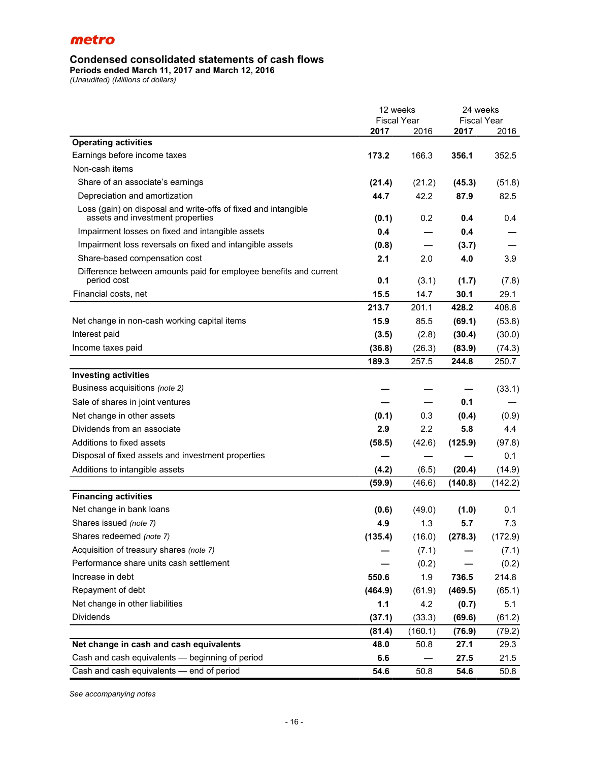# **Condensed consolidated statements of cash flows**

**Periods ended March 11, 2017 and March 12, 2016**

*(Unaudited) (Millions of dollars)*

|                                                                                                    | 12 weeks           |                 | 24 weeks           |         |  |
|----------------------------------------------------------------------------------------------------|--------------------|-----------------|--------------------|---------|--|
|                                                                                                    | <b>Fiscal Year</b> |                 | <b>Fiscal Year</b> |         |  |
|                                                                                                    | 2017               | 2016            | 2017               | 2016    |  |
| <b>Operating activities</b>                                                                        |                    |                 |                    |         |  |
| Earnings before income taxes                                                                       | 173.2              | 166.3           | 356.1              | 352.5   |  |
| Non-cash items                                                                                     |                    |                 |                    |         |  |
| Share of an associate's earnings                                                                   | (21.4)             | (21.2)          | (45.3)             | (51.8)  |  |
| Depreciation and amortization                                                                      | 44.7               | 42.2            | 87.9               | 82.5    |  |
| Loss (gain) on disposal and write-offs of fixed and intangible<br>assets and investment properties | (0.1)              | 0.2             | 0.4                | 0.4     |  |
| Impairment losses on fixed and intangible assets                                                   | 0.4                |                 | 0.4                |         |  |
| Impairment loss reversals on fixed and intangible assets                                           | (0.8)              | $\qquad \qquad$ | (3.7)              |         |  |
| Share-based compensation cost                                                                      | 2.1                | 2.0             | 4.0                | 3.9     |  |
| Difference between amounts paid for employee benefits and current<br>period cost                   | 0.1                | (3.1)           | (1.7)              | (7.8)   |  |
| Financial costs, net                                                                               | 15.5               | 14.7            | 30.1               | 29.1    |  |
|                                                                                                    | 213.7              | 201.1           | 428.2              | 408.8   |  |
| Net change in non-cash working capital items                                                       | 15.9               | 85.5            | (69.1)             | (53.8)  |  |
| Interest paid                                                                                      | (3.5)              | (2.8)           | (30.4)             | (30.0)  |  |
| Income taxes paid                                                                                  | (36.8)             | (26.3)          | (83.9)             | (74.3)  |  |
|                                                                                                    | 189.3              | 257.5           | 244.8              | 250.7   |  |
| <b>Investing activities</b>                                                                        |                    |                 |                    |         |  |
| Business acquisitions (note 2)                                                                     |                    |                 |                    | (33.1)  |  |
| Sale of shares in joint ventures                                                                   |                    |                 | 0.1                |         |  |
| Net change in other assets                                                                         | (0.1)              | 0.3             | (0.4)              | (0.9)   |  |
| Dividends from an associate                                                                        | 2.9                | 2.2             | 5.8                | 4.4     |  |
| Additions to fixed assets                                                                          | (58.5)             | (42.6)          | (125.9)            | (97.8)  |  |
| Disposal of fixed assets and investment properties                                                 |                    |                 |                    | 0.1     |  |
| Additions to intangible assets                                                                     | (4.2)              | (6.5)           | (20.4)             | (14.9)  |  |
|                                                                                                    | (59.9)             | (46.6)          | (140.8)            | (142.2) |  |
| <b>Financing activities</b>                                                                        |                    |                 |                    |         |  |
| Net change in bank loans                                                                           | (0.6)              | (49.0)          | (1.0)              | 0.1     |  |
| Shares issued (note 7)                                                                             | 4.9                | 1.3             | 5.7                | 7.3     |  |
| Shares redeemed (note 7)                                                                           | (135.4)            | (16.0)          | (278.3)            | (172.9) |  |
| Acquisition of treasury shares (note 7)                                                            |                    | (7.1)           |                    | (7.1)   |  |
| Performance share units cash settlement                                                            |                    | (0.2)           |                    | (0.2)   |  |
| Increase in debt                                                                                   | 550.6              | 1.9             | 736.5              | 214.8   |  |
| Repayment of debt                                                                                  | (464.9)            | (61.9)          | (469.5)            | (65.1)  |  |
| Net change in other liabilities                                                                    | 1.1                | 4.2             | (0.7)              | 5.1     |  |
| <b>Dividends</b>                                                                                   | (37.1)             | (33.3)          | (69.6)             | (61.2)  |  |
|                                                                                                    | (81.4)             | (160.1)         | (76.9)             | (79.2)  |  |
| Net change in cash and cash equivalents                                                            | 48.0               | 50.8            | 27.1               | 29.3    |  |
| Cash and cash equivalents - beginning of period                                                    | 6.6                |                 | 27.5               | 21.5    |  |
| Cash and cash equivalents - end of period                                                          | 54.6               | 50.8            | 54.6               | 50.8    |  |
|                                                                                                    |                    |                 |                    |         |  |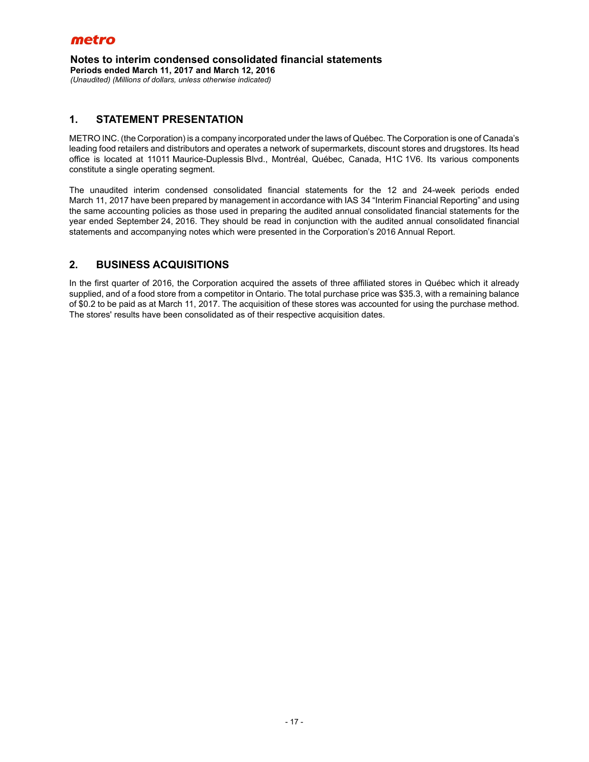**Notes to interim condensed consolidated financial statements Periods ended March 11, 2017 and March 12, 2016** *(Unaudited) (Millions of dollars, unless otherwise indicated)*

### **1. STATEMENT PRESENTATION**

METRO INC. (the Corporation) is a company incorporated under the laws of Québec. The Corporation is one of Canada's leading food retailers and distributors and operates a network of supermarkets, discount stores and drugstores. Its head office is located at 11011 Maurice-Duplessis Blvd., Montréal, Québec, Canada, H1C 1V6. Its various components constitute a single operating segment.

The unaudited interim condensed consolidated financial statements for the 12 and 24-week periods ended March 11, 2017 have been prepared by management in accordance with IAS 34 "Interim Financial Reporting" and using the same accounting policies as those used in preparing the audited annual consolidated financial statements for the year ended September 24, 2016. They should be read in conjunction with the audited annual consolidated financial statements and accompanying notes which were presented in the Corporation's 2016 Annual Report.

# **2. BUSINESS ACQUISITIONS**

In the first quarter of 2016, the Corporation acquired the assets of three affiliated stores in Québec which it already supplied, and of a food store from a competitor in Ontario. The total purchase price was \$35.3, with a remaining balance of \$0.2 to be paid as at March 11, 2017. The acquisition of these stores was accounted for using the purchase method. The stores' results have been consolidated as of their respective acquisition dates.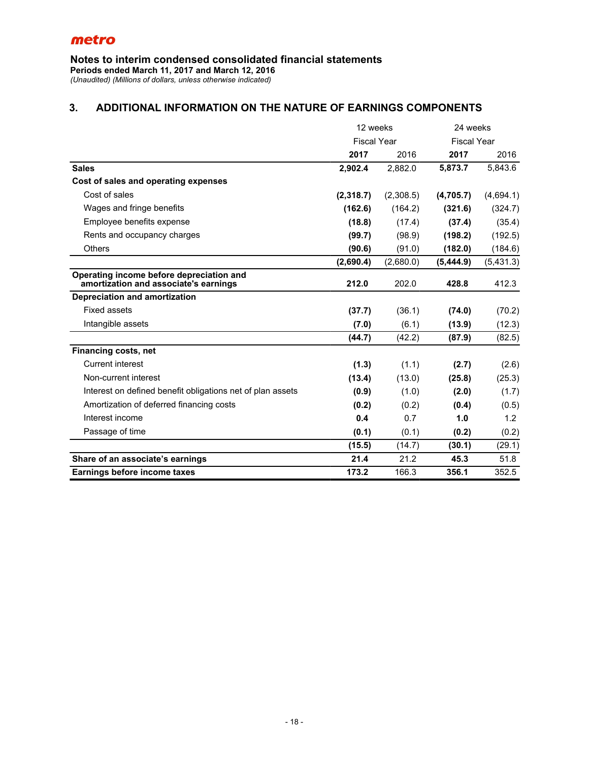**Notes to interim condensed consolidated financial statements**

**Periods ended March 11, 2017 and March 12, 2016**

*(Unaudited) (Millions of dollars, unless otherwise indicated)*

# **3. ADDITIONAL INFORMATION ON THE NATURE OF EARNINGS COMPONENTS**

|                                                                                   | 12 weeks           |           | 24 weeks           |           |  |
|-----------------------------------------------------------------------------------|--------------------|-----------|--------------------|-----------|--|
|                                                                                   | <b>Fiscal Year</b> |           | <b>Fiscal Year</b> |           |  |
|                                                                                   | 2017               | 2016      | 2017               | 2016      |  |
| <b>Sales</b>                                                                      | 2,902.4            | 2,882.0   | 5,873.7            | 5,843.6   |  |
| Cost of sales and operating expenses                                              |                    |           |                    |           |  |
| Cost of sales                                                                     | (2,318.7)          | (2,308.5) | (4,705.7)          | (4,694.1) |  |
| Wages and fringe benefits                                                         | (162.6)            | (164.2)   | (321.6)            | (324.7)   |  |
| Employee benefits expense                                                         | (18.8)             | (17.4)    | (37.4)             | (35.4)    |  |
| Rents and occupancy charges                                                       | (99.7)             | (98.9)    | (198.2)            | (192.5)   |  |
| Others                                                                            | (90.6)             | (91.0)    | (182.0)            | (184.6)   |  |
|                                                                                   | (2,690.4)          | (2,680.0) | (5,444.9)          | (5,431.3) |  |
| Operating income before depreciation and<br>amortization and associate's earnings | 212.0              | 202.0     | 428.8              | 412.3     |  |
| <b>Depreciation and amortization</b>                                              |                    |           |                    |           |  |
| Fixed assets                                                                      | (37.7)             | (36.1)    | (74.0)             | (70.2)    |  |
| Intangible assets                                                                 | (7.0)              | (6.1)     | (13.9)             | (12.3)    |  |
|                                                                                   | (44.7)             | (42.2)    | (87.9)             | (82.5)    |  |
| Financing costs, net                                                              |                    |           |                    |           |  |
| <b>Current interest</b>                                                           | (1.3)              | (1.1)     | (2.7)              | (2.6)     |  |
| Non-current interest                                                              | (13.4)             | (13.0)    | (25.8)             | (25.3)    |  |
| Interest on defined benefit obligations net of plan assets                        | (0.9)              | (1.0)     | (2.0)              | (1.7)     |  |
| Amortization of deferred financing costs                                          | (0.2)              | (0.2)     | (0.4)              | (0.5)     |  |
| Interest income                                                                   | 0.4                | 0.7       | 1.0                | 1.2       |  |
| Passage of time                                                                   | (0.1)              | (0.1)     | (0.2)              | (0.2)     |  |
|                                                                                   | (15.5)             | (14.7)    | (30.1)             | (29.1)    |  |
| Share of an associate's earnings                                                  | 21.4               | 21.2      | 45.3               | 51.8      |  |
| Earnings before income taxes                                                      | 173.2              | 166.3     | 356.1              | 352.5     |  |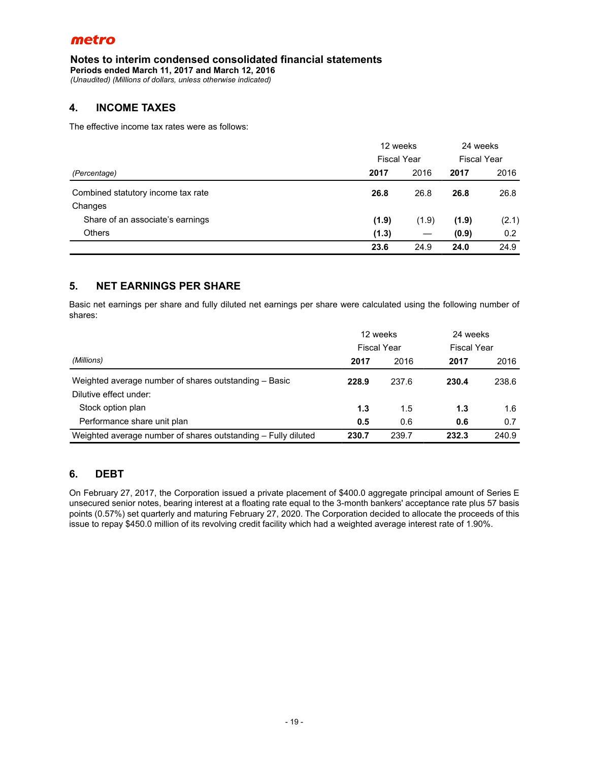### **Notes to interim condensed consolidated financial statements**

**Periods ended March 11, 2017 and March 12, 2016**

*(Unaudited) (Millions of dollars, unless otherwise indicated)*

# **4. INCOME TAXES**

The effective income tax rates were as follows:

|                                    | 12 weeks<br><b>Fiscal Year</b> |       | 24 weeks<br><b>Fiscal Year</b> |       |
|------------------------------------|--------------------------------|-------|--------------------------------|-------|
|                                    |                                |       |                                |       |
| Combined statutory income tax rate | 26.8                           | 26.8  | 26.8                           | 26.8  |
| Changes                            |                                |       |                                |       |
| Share of an associate's earnings   | (1.9)                          | (1.9) | (1.9)                          | (2.1) |
| <b>Others</b>                      | (1.3)                          |       | (0.9)                          | 0.2   |
|                                    | 23.6                           | 24.9  | 24.0                           | 24.9  |

# **5. NET EARNINGS PER SHARE**

Basic net earnings per share and fully diluted net earnings per share were calculated using the following number of shares:

|                                                               | 12 weeks<br><b>Fiscal Year</b> |       | 24 weeks |                    |
|---------------------------------------------------------------|--------------------------------|-------|----------|--------------------|
|                                                               |                                |       |          | <b>Fiscal Year</b> |
| (Millions)                                                    | 2017                           | 2016  | 2017     | 2016               |
| Weighted average number of shares outstanding - Basic         | 228.9                          | 237.6 | 230.4    | 238.6              |
| Dilutive effect under:                                        |                                |       |          |                    |
| Stock option plan                                             | 1.3                            | 1.5   | 1.3      | 1.6                |
| Performance share unit plan                                   | 0.5                            | 0.6   | 0.6      | 0.7                |
| Weighted average number of shares outstanding - Fully diluted | 230.7                          | 239.7 | 232.3    | 240.9              |

# **6. DEBT**

On February 27, 2017, the Corporation issued a private placement of \$400.0 aggregate principal amount of Series E unsecured senior notes, bearing interest at a floating rate equal to the 3-month bankers' acceptance rate plus 57 basis points (0.57%) set quarterly and maturing February 27, 2020. The Corporation decided to allocate the proceeds of this issue to repay \$450.0 million of its revolving credit facility which had a weighted average interest rate of 1.90%.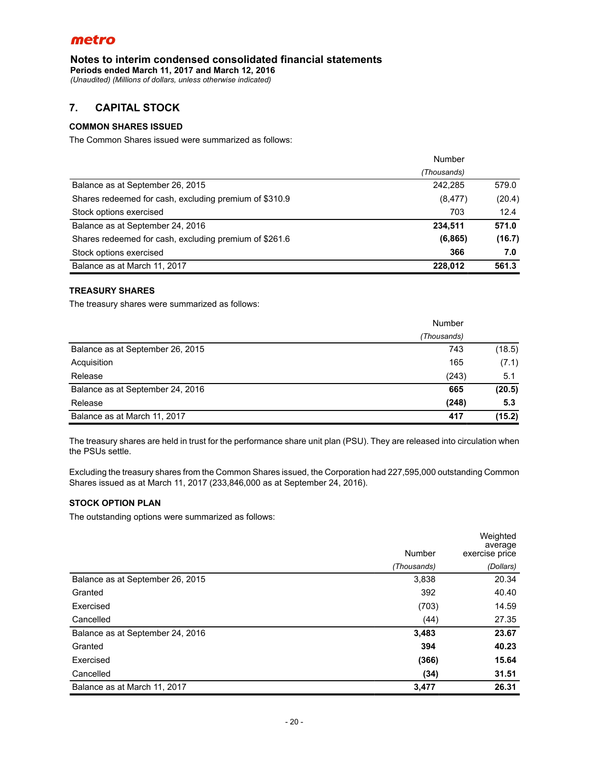**Notes to interim condensed consolidated financial statements**

**Periods ended March 11, 2017 and March 12, 2016**

*(Unaudited) (Millions of dollars, unless otherwise indicated)*

# **7. CAPITAL STOCK**

### **COMMON SHARES ISSUED**

The Common Shares issued were summarized as follows:

|                                                        | Number      |        |
|--------------------------------------------------------|-------------|--------|
|                                                        | (Thousands) |        |
| Balance as at September 26, 2015                       | 242.285     | 579.0  |
| Shares redeemed for cash, excluding premium of \$310.9 | (8, 477)    | (20.4) |
| Stock options exercised                                | 703         | 12.4   |
| Balance as at September 24, 2016                       | 234,511     | 571.0  |
| Shares redeemed for cash, excluding premium of \$261.6 | (6, 865)    | (16.7) |
| Stock options exercised                                | 366         | 7.0    |
| Balance as at March 11, 2017                           | 228.012     | 561.3  |

### **TREASURY SHARES**

The treasury shares were summarized as follows:

|                                  | Number      |        |
|----------------------------------|-------------|--------|
|                                  | (Thousands) |        |
| Balance as at September 26, 2015 | 743         | (18.5) |
| Acquisition                      | 165         | (7.1)  |
| Release                          | (243)       | 5.1    |
| Balance as at September 24, 2016 | 665         | (20.5) |
| Release                          | (248)       | 5.3    |
| Balance as at March 11, 2017     | 417         | (15.2) |

The treasury shares are held in trust for the performance share unit plan (PSU). They are released into circulation when the PSUs settle.

Excluding the treasury shares from the Common Shares issued, the Corporation had 227,595,000 outstanding Common Shares issued as at March 11, 2017 (233,846,000 as at September 24, 2016).

### **STOCK OPTION PLAN**

The outstanding options were summarized as follows:

|                                  |             | Weighted<br>average |
|----------------------------------|-------------|---------------------|
|                                  | Number      | exercise price      |
|                                  | (Thousands) | (Dollars)           |
| Balance as at September 26, 2015 | 3,838       | 20.34               |
| Granted                          | 392         | 40.40               |
| Exercised                        | (703)       | 14.59               |
| Cancelled                        | (44)        | 27.35               |
| Balance as at September 24, 2016 | 3,483       | 23.67               |
| Granted                          | 394         | 40.23               |
| Exercised                        | (366)       | 15.64               |
| Cancelled                        | (34)        | 31.51               |
| Balance as at March 11, 2017     | 3,477       | 26.31               |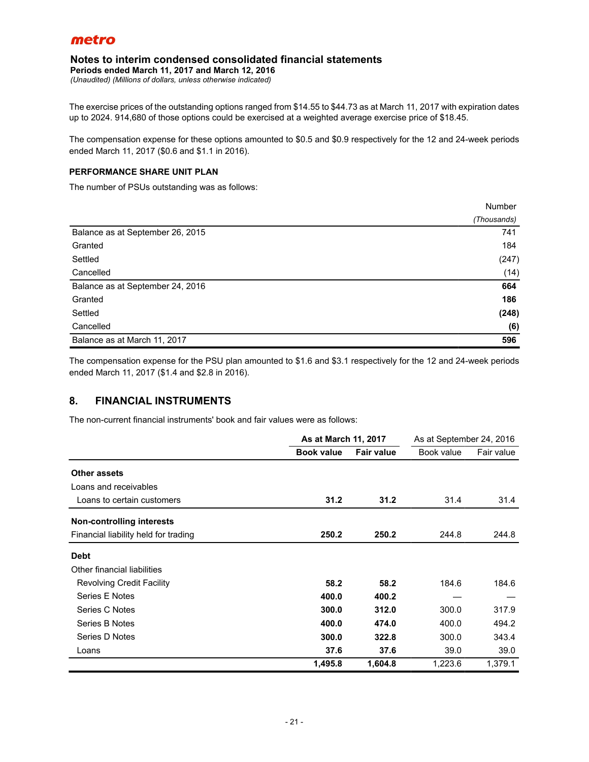### **Notes to interim condensed consolidated financial statements**

**Periods ended March 11, 2017 and March 12, 2016**

*(Unaudited) (Millions of dollars, unless otherwise indicated)*

The exercise prices of the outstanding options ranged from \$14.55 to \$44.73 as at March 11, 2017 with expiration dates up to 2024. 914,680 of those options could be exercised at a weighted average exercise price of \$18.45.

The compensation expense for these options amounted to \$0.5 and \$0.9 respectively for the 12 and 24-week periods ended March 11, 2017 (\$0.6 and \$1.1 in 2016).

### **PERFORMANCE SHARE UNIT PLAN**

The number of PSUs outstanding was as follows:

|                                  | Number      |
|----------------------------------|-------------|
|                                  | (Thousands) |
| Balance as at September 26, 2015 | 741         |
| Granted                          | 184         |
| Settled                          | (247)       |
| Cancelled                        | (14)        |
| Balance as at September 24, 2016 | 664         |
| Granted                          | 186         |
| Settled                          | (248)       |
| Cancelled                        | (6)         |
| Balance as at March 11, 2017     | 596         |

The compensation expense for the PSU plan amounted to \$1.6 and \$3.1 respectively for the 12 and 24-week periods ended March 11, 2017 (\$1.4 and \$2.8 in 2016).

# **8. FINANCIAL INSTRUMENTS**

The non-current financial instruments' book and fair values were as follows:

|                                      | As at March 11, 2017 |                   | As at September 24, 2016 |            |
|--------------------------------------|----------------------|-------------------|--------------------------|------------|
|                                      | <b>Book value</b>    | <b>Fair value</b> | Book value               | Fair value |
| Other assets                         |                      |                   |                          |            |
| Loans and receivables                |                      |                   |                          |            |
| Loans to certain customers           | 31.2                 | 31.2              | 31.4                     | 31.4       |
| Non-controlling interests            |                      |                   |                          |            |
| Financial liability held for trading | 250.2                | 250.2             | 244.8                    | 244.8      |
| <b>Debt</b>                          |                      |                   |                          |            |
| Other financial liabilities          |                      |                   |                          |            |
| <b>Revolving Credit Facility</b>     | 58.2                 | 58.2              | 184.6                    | 184.6      |
| Series E Notes                       | 400.0                | 400.2             |                          |            |
| Series C Notes                       | 300.0                | 312.0             | 300.0                    | 317.9      |
| Series B Notes                       | 400.0                | 474.0             | 400.0                    | 494.2      |
| Series D Notes                       | 300.0                | 322.8             | 300.0                    | 343.4      |
| Loans                                | 37.6                 | 37.6              | 39.0                     | 39.0       |
|                                      | 1,495.8              | 1,604.8           | 1,223.6                  | 1,379.1    |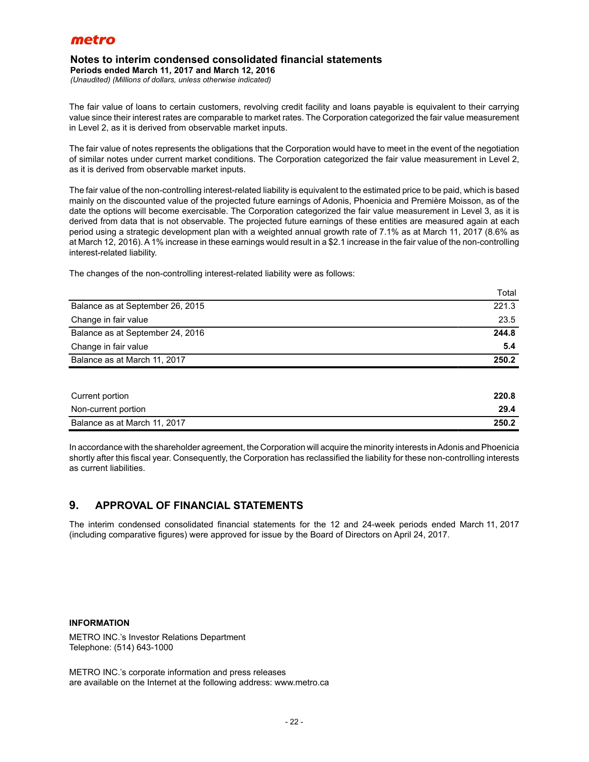### **Notes to interim condensed consolidated financial statements**

**Periods ended March 11, 2017 and March 12, 2016**

*(Unaudited) (Millions of dollars, unless otherwise indicated)*

The fair value of loans to certain customers, revolving credit facility and loans payable is equivalent to their carrying value since their interest rates are comparable to market rates. The Corporation categorized the fair value measurement in Level 2, as it is derived from observable market inputs.

The fair value of notes represents the obligations that the Corporation would have to meet in the event of the negotiation of similar notes under current market conditions. The Corporation categorized the fair value measurement in Level 2, as it is derived from observable market inputs.

The fair value of the non-controlling interest-related liability is equivalent to the estimated price to be paid, which is based mainly on the discounted value of the projected future earnings of Adonis, Phoenicia and Première Moisson, as of the date the options will become exercisable. The Corporation categorized the fair value measurement in Level 3, as it is derived from data that is not observable. The projected future earnings of these entities are measured again at each period using a strategic development plan with a weighted annual growth rate of 7.1% as at March 11, 2017 (8.6% as at March 12, 2016). A1% increase in these earnings would result in a \$2.1 increase in the fair value of the non-controlling interest-related liability.

The changes of the non-controlling interest-related liability were as follows:

|                                  | Total |
|----------------------------------|-------|
| Balance as at September 26, 2015 | 221.3 |
| Change in fair value             | 23.5  |
| Balance as at September 24, 2016 | 244.8 |
| Change in fair value             | 5.4   |
| Balance as at March 11, 2017     | 250.2 |

| Current portion              | 220.8 |
|------------------------------|-------|
| Non-current portion          | 29.4  |
| Balance as at March 11, 2017 | 250.2 |

In accordance with the shareholder agreement, the Corporation will acquire the minority interests in Adonis and Phoenicia shortly after this fiscal year. Consequently, the Corporation has reclassified the liability for these non-controlling interests as current liabilities.

# **9. APPROVAL OF FINANCIAL STATEMENTS**

The interim condensed consolidated financial statements for the 12 and 24-week periods ended March 11, 2017 (including comparative figures) were approved for issue by the Board of Directors on April 24, 2017.

### **INFORMATION**

METRO INC.'s Investor Relations Department Telephone: (514) 643-1000

METRO INC.'s corporate information and press releases are available on the Internet at the following address: www.metro.ca